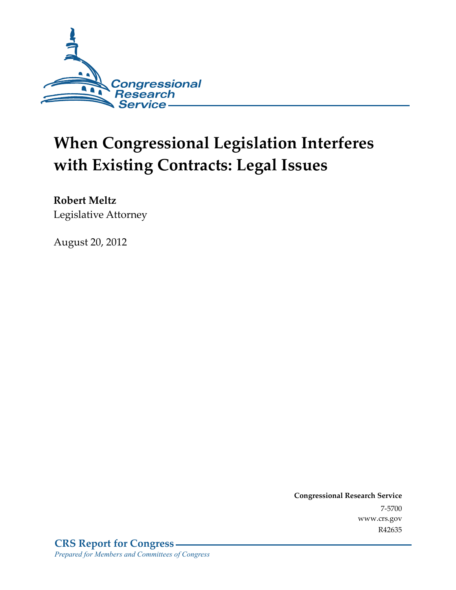

# **When Congressional Legislation Interferes with Existing Contracts: Legal Issues**

**Robert Meltz**  Legislative Attorney

August 20, 2012

**Congressional Research Service**  7-5700 www.crs.gov R42635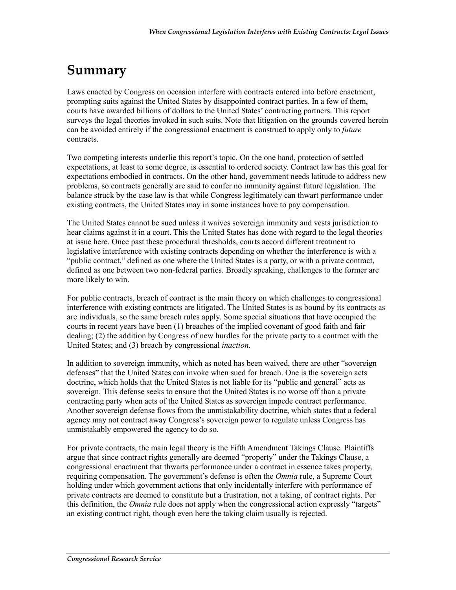## **Summary**

Laws enacted by Congress on occasion interfere with contracts entered into before enactment, prompting suits against the United States by disappointed contract parties. In a few of them, courts have awarded billions of dollars to the United States' contracting partners. This report surveys the legal theories invoked in such suits. Note that litigation on the grounds covered herein can be avoided entirely if the congressional enactment is construed to apply only to *future* contracts.

Two competing interests underlie this report's topic. On the one hand, protection of settled expectations, at least to some degree, is essential to ordered society. Contract law has this goal for expectations embodied in contracts. On the other hand, government needs latitude to address new problems, so contracts generally are said to confer no immunity against future legislation. The balance struck by the case law is that while Congress legitimately can thwart performance under existing contracts, the United States may in some instances have to pay compensation.

The United States cannot be sued unless it waives sovereign immunity and vests jurisdiction to hear claims against it in a court. This the United States has done with regard to the legal theories at issue here. Once past these procedural thresholds, courts accord different treatment to legislative interference with existing contracts depending on whether the interference is with a "public contract," defined as one where the United States is a party, or with a private contract, defined as one between two non-federal parties. Broadly speaking, challenges to the former are more likely to win.

For public contracts, breach of contract is the main theory on which challenges to congressional interference with existing contracts are litigated. The United States is as bound by its contracts as are individuals, so the same breach rules apply. Some special situations that have occupied the courts in recent years have been (1) breaches of the implied covenant of good faith and fair dealing; (2) the addition by Congress of new hurdles for the private party to a contract with the United States; and (3) breach by congressional *inaction*.

In addition to sovereign immunity, which as noted has been waived, there are other "sovereign defenses" that the United States can invoke when sued for breach. One is the sovereign acts doctrine, which holds that the United States is not liable for its "public and general" acts as sovereign. This defense seeks to ensure that the United States is no worse off than a private contracting party when acts of the United States as sovereign impede contract performance. Another sovereign defense flows from the unmistakability doctrine, which states that a federal agency may not contract away Congress's sovereign power to regulate unless Congress has unmistakably empowered the agency to do so.

For private contracts, the main legal theory is the Fifth Amendment Takings Clause. Plaintiffs argue that since contract rights generally are deemed "property" under the Takings Clause, a congressional enactment that thwarts performance under a contract in essence takes property, requiring compensation. The government's defense is often the *Omnia* rule, a Supreme Court holding under which government actions that only incidentally interfere with performance of private contracts are deemed to constitute but a frustration, not a taking, of contract rights. Per this definition, the *Omnia* rule does not apply when the congressional action expressly "targets" an existing contract right, though even here the taking claim usually is rejected.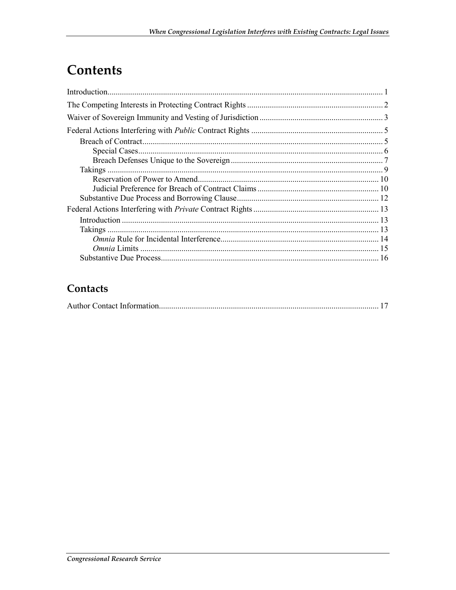## Contents

### Contacts

|--|--|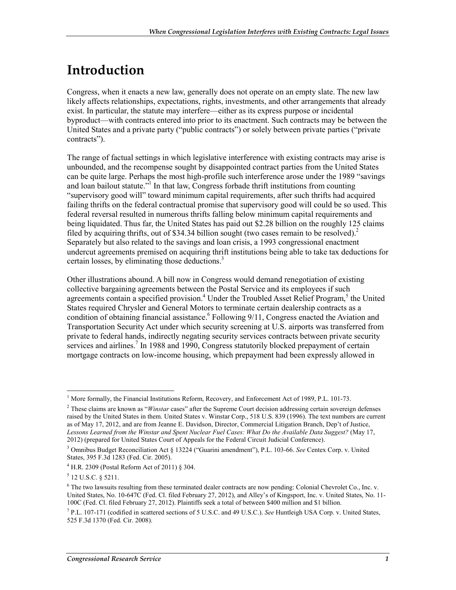## **Introduction**

Congress, when it enacts a new law, generally does not operate on an empty slate. The new law likely affects relationships, expectations, rights, investments, and other arrangements that already exist. In particular, the statute may interfere—either as its express purpose or incidental byproduct—with contracts entered into prior to its enactment. Such contracts may be between the United States and a private party ("public contracts") or solely between private parties ("private contracts").

The range of factual settings in which legislative interference with existing contracts may arise is unbounded, and the recompense sought by disappointed contract parties from the United States can be quite large. Perhaps the most high-profile such interference arose under the 1989 "savings and loan bailout statute.<sup> $\frac{3}{1}$ </sup> In that law, Congress forbade thrift institutions from counting "supervisory good will" toward minimum capital requirements, after such thrifts had acquired failing thrifts on the federal contractual promise that supervisory good will could be so used. This federal reversal resulted in numerous thrifts falling below minimum capital requirements and being liquidated. Thus far, the United States has paid out \$2.28 billion on the roughly 125 claims filed by acquiring thrifts, out of \$34.34 billion sought (two cases remain to be resolved).<sup>2</sup> Separately but also related to the savings and loan crisis, a 1993 congressional enactment undercut agreements premised on acquiring thrift institutions being able to take tax deductions for certain losses, by eliminating those deductions.<sup>3</sup>

Other illustrations abound. A bill now in Congress would demand renegotiation of existing collective bargaining agreements between the Postal Service and its employees if such agreements contain a specified provision.<sup>4</sup> Under the Troubled Asset Relief Program,<sup>5</sup> the United States required Chrysler and General Motors to terminate certain dealership contracts as a condition of obtaining financial assistance.<sup>6</sup> Following 9/11, Congress enacted the Aviation and Transportation Security Act under which security screening at U.S. airports was transferred from private to federal hands, indirectly negating security services contracts between private security services and airlines.<sup>7</sup> In 1988 and 1990, Congress statutorily blocked prepayment of certain mortgage contracts on low-income housing, which prepayment had been expressly allowed in

<sup>&</sup>lt;sup>1</sup> More formally, the Financial Institutions Reform, Recovery, and Enforcement Act of 1989, P.L. 101-73.

<sup>2</sup> These claims are known as "*Winstar* cases" after the Supreme Court decision addressing certain sovereign defenses raised by the United States in them. United States v. Winstar Corp., 518 U.S. 839 (1996). The text numbers are current as of May 17, 2012, and are from Jeanne E. Davidson, Director, Commercial Litigation Branch, Dep't of Justice, *Lessons Learned from the Winstar and Spent Nuclear Fuel Cases: What Do the Available Data Suggest?* (May 17, 2012) (prepared for United States Court of Appeals for the Federal Circuit Judicial Conference).

<sup>3</sup> Omnibus Budget Reconciliation Act § 13224 ("Guarini amendment"), P.L. 103-66. *See* Centex Corp. v. United States, 395 F.3d 1283 (Fed. Cir. 2005).

<sup>4</sup> H.R. 2309 (Postal Reform Act of 2011) § 304.

<sup>5</sup> 12 U.S.C. § 5211.

<sup>&</sup>lt;sup>6</sup> The two lawsuits resulting from these terminated dealer contracts are now pending: Colonial Chevrolet Co., Inc. v. United States, No. 10-647C (Fed. Cl. filed February 27, 2012), and Alley's of Kingsport, Inc. v. United States, No. 11- 100C (Fed. Cl. filed February 27, 2012). Plaintiffs seek a total of between \$400 million and \$1 billion.

<sup>7</sup> P.L. 107-171 (codified in scattered sections of 5 U.S.C. and 49 U.S.C.). *See* Huntleigh USA Corp. v. United States, 525 F.3d 1370 (Fed. Cir. 2008).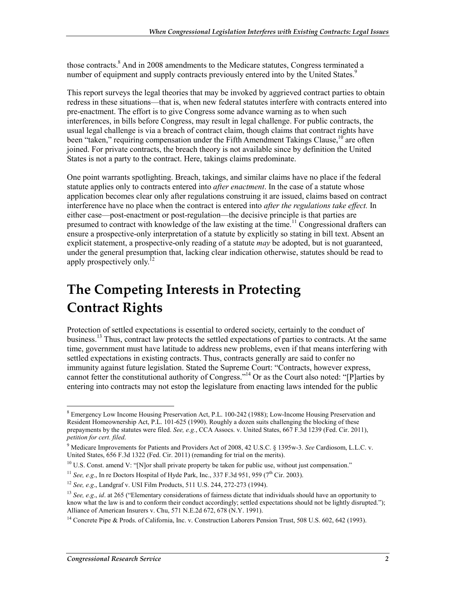those contracts.<sup>8</sup> And in 2008 amendments to the Medicare statutes, Congress terminated a number of equipment and supply contracts previously entered into by the United States.<sup>9</sup>

This report surveys the legal theories that may be invoked by aggrieved contract parties to obtain redress in these situations—that is, when new federal statutes interfere with contracts entered into pre-enactment. The effort is to give Congress some advance warning as to when such interferences, in bills before Congress, may result in legal challenge. For public contracts, the usual legal challenge is via a breach of contract claim, though claims that contract rights have been "taken," requiring compensation under the Fifth Amendment Takings Clause.<sup>10</sup> are often joined. For private contracts, the breach theory is not available since by definition the United States is not a party to the contract. Here, takings claims predominate.

One point warrants spotlighting. Breach, takings, and similar claims have no place if the federal statute applies only to contracts entered into *after enactment*. In the case of a statute whose application becomes clear only after regulations construing it are issued, claims based on contract interference have no place when the contract is entered into *after the regulations take effect.* In either case—post-enactment or post-regulation—the decisive principle is that parties are presumed to contract with knowledge of the law existing at the time.<sup>11</sup> Congressional drafters can ensure a prospective-only interpretation of a statute by explicitly so stating in bill text. Absent an explicit statement, a prospective-only reading of a statute *may* be adopted, but is not guaranteed, under the general presumption that, lacking clear indication otherwise, statutes should be read to apply prospectively only.<sup>12</sup>

## **The Competing Interests in Protecting Contract Rights**

Protection of settled expectations is essential to ordered society, certainly to the conduct of business.<sup>13</sup> Thus, contract law protects the settled expectations of parties to contracts. At the same time, government must have latitude to address new problems, even if that means interfering with settled expectations in existing contracts. Thus, contracts generally are said to confer no immunity against future legislation. Stated the Supreme Court: "Contracts, however express, cannot fetter the constitutional authority of Congress."14 Or as the Court also noted: "[P]arties by entering into contracts may not estop the legislature from enacting laws intended for the public

<sup>&</sup>lt;sup>8</sup> Emergency Low Income Housing Preservation Act, P.L. 100-242 (1988); Low-Income Housing Preservation and <sup>8</sup> Resident Homeownership Act, P.L. 101-625 (1990). Roughly a dozen suits challenging the blocking of these prepayments by the statutes were filed. *See, e.g.*, CCA Assocs. v. United States, 667 F.3d 1239 (Fed. Cir. 2011), *petition for cert. filed*.

<sup>9</sup> Medicare Improvements for Patients and Providers Act of 2008, 42 U.S.C. § 1395w-3. *See* Cardiosom, L.L.C. v. United States, 656 F.3d 1322 (Fed. Cir. 2011) (remanding for trial on the merits).

 $10$  U.S. Const. amend V: "[N]or shall private property be taken for public use, without just compensation."

<sup>&</sup>lt;sup>11</sup> *See, e.g.*, In re Doctors Hospital of Hyde Park, Inc., 337 F.3d 951, 959 (7<sup>th</sup> Cir. 2003).

<sup>12</sup> *See, e.g*., Landgraf v. USI Film Products, 511 U.S. 244, 272-273 (1994).

<sup>&</sup>lt;sup>13</sup> *See, e.g., id.* at 265 ("Elementary considerations of fairness dictate that individuals should have an opportunity to know what the law is and to conform their conduct accordingly; settled expectations should not be lightly disrupted."); Alliance of American Insurers v. Chu, 571 N.E.2d 672, 678 (N.Y. 1991).

<sup>&</sup>lt;sup>14</sup> Concrete Pipe & Prods. of California, Inc. v. Construction Laborers Pension Trust, 508 U.S. 602, 642 (1993).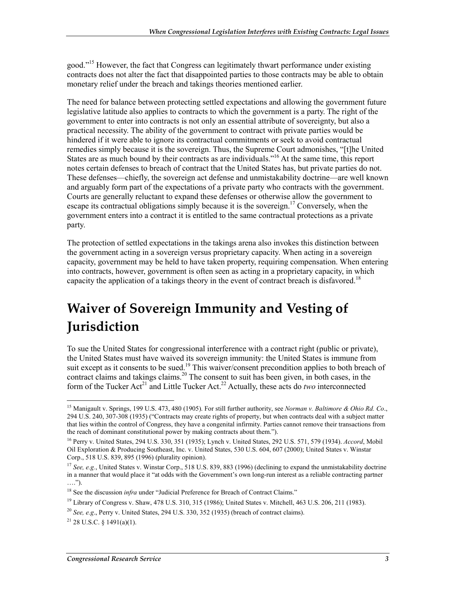good."<sup>15</sup> However, the fact that Congress can legitimately thwart performance under existing contracts does not alter the fact that disappointed parties to those contracts may be able to obtain monetary relief under the breach and takings theories mentioned earlier.

The need for balance between protecting settled expectations and allowing the government future legislative latitude also applies to contracts to which the government is a party. The right of the government to enter into contracts is not only an essential attribute of sovereignty, but also a practical necessity. The ability of the government to contract with private parties would be hindered if it were able to ignore its contractual commitments or seek to avoid contractual remedies simply because it is the sovereign. Thus, the Supreme Court admonishes, "[t]he United States are as much bound by their contracts as are individuals."<sup>16</sup> At the same time, this report notes certain defenses to breach of contract that the United States has, but private parties do not. These defenses—chiefly, the sovereign act defense and unmistakability doctrine—are well known and arguably form part of the expectations of a private party who contracts with the government. Courts are generally reluctant to expand these defenses or otherwise allow the government to escape its contractual obligations simply because it is the sovereign.<sup>17</sup> Conversely, when the government enters into a contract it is entitled to the same contractual protections as a private party.

The protection of settled expectations in the takings arena also invokes this distinction between the government acting in a sovereign versus proprietary capacity. When acting in a sovereign capacity, government may be held to have taken property, requiring compensation. When entering into contracts, however, government is often seen as acting in a proprietary capacity, in which capacity the application of a takings theory in the event of contract breach is disfavored.<sup>18</sup>

## **Waiver of Sovereign Immunity and Vesting of Jurisdiction**

To sue the United States for congressional interference with a contract right (public or private), the United States must have waived its sovereign immunity: the United States is immune from suit except as it consents to be sued.<sup>19</sup> This waiver/consent precondition applies to both breach of contract claims and takings claims.<sup>20</sup> The consent to suit has been given, in both cases, in the form of the Tucker Act<sup>21</sup> and Little Tucker Act.<sup>22</sup> Actually, these acts do *two* interconnected

<sup>15</sup> Manigault v. Springs, 199 U.S. 473, 480 (1905). For still further authority, see *Norman v. Baltimore & Ohio Rd. Co*., 294 U.S. 240, 307-308 (1935) ("Contracts may create rights of property, but when contracts deal with a subject matter that lies within the control of Congress, they have a congenital infirmity. Parties cannot remove their transactions from the reach of dominant constitutional power by making contracts about them.").

<sup>16</sup> Perry v. United States, 294 U.S. 330, 351 (1935); Lynch v. United States, 292 U.S. 571, 579 (1934). *Accord*, Mobil Oil Exploration & Producing Southeast, Inc. v. United States, 530 U.S. 604, 607 (2000); United States v. Winstar Corp., 518 U.S. 839, 895 (1996) (plurality opinion).

<sup>&</sup>lt;sup>17</sup> See, e.g., United States v. Winstar Corp., 518 U.S. 839, 883 (1996) (declining to expand the unmistakability doctrine in a manner that would place it "at odds with the Government's own long-run interest as a reliable contracting partner ….").

<sup>&</sup>lt;sup>18</sup> See the discussion *infra* under "Judicial Preference for Breach of Contract Claims."

<sup>&</sup>lt;sup>19</sup> Library of Congress v. Shaw, 478 U.S. 310, 315 (1986); United States v. Mitchell, 463 U.S. 206, 211 (1983).

<sup>20</sup> *See, e.g*., Perry v. United States, 294 U.S. 330, 352 (1935) (breach of contract claims).

 $^{21}$  28 U.S.C. § 1491(a)(1).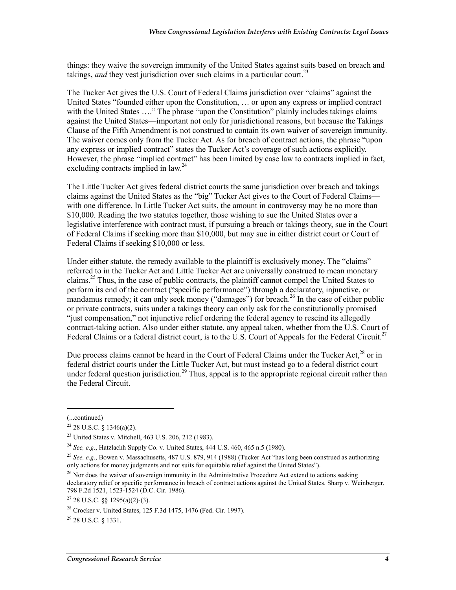things: they waive the sovereign immunity of the United States against suits based on breach and takings, *and* they vest jurisdiction over such claims in a particular court.<sup>23</sup>

The Tucker Act gives the U.S. Court of Federal Claims jurisdiction over "claims" against the United States "founded either upon the Constitution, … or upon any express or implied contract with the United States ...." The phrase "upon the Constitution" plainly includes takings claims against the United States—important not only for jurisdictional reasons, but because the Takings Clause of the Fifth Amendment is not construed to contain its own waiver of sovereign immunity. The waiver comes only from the Tucker Act. As for breach of contract actions, the phrase "upon any express or implied contract" states the Tucker Act's coverage of such actions explicitly. However, the phrase "implied contract" has been limited by case law to contracts implied in fact, excluding contracts implied in law.<sup>24</sup>

The Little Tucker Act gives federal district courts the same jurisdiction over breach and takings claims against the United States as the "big" Tucker Act gives to the Court of Federal Claims with one difference. In Little Tucker Act suits, the amount in controversy may be no more than \$10,000. Reading the two statutes together, those wishing to sue the United States over a legislative interference with contract must, if pursuing a breach or takings theory, sue in the Court of Federal Claims if seeking more than \$10,000, but may sue in either district court or Court of Federal Claims if seeking \$10,000 or less.

Under either statute, the remedy available to the plaintiff is exclusively money. The "claims" referred to in the Tucker Act and Little Tucker Act are universally construed to mean monetary claims.<sup>25</sup> Thus, in the case of public contracts, the plaintiff cannot compel the United States to perform its end of the contract ("specific performance") through a declaratory, injunctive, or mandamus remedy; it can only seek money ("damages") for breach.<sup>26</sup> In the case of either public or private contracts, suits under a takings theory can only ask for the constitutionally promised "just compensation," not injunctive relief ordering the federal agency to rescind its allegedly contract-taking action. Also under either statute, any appeal taken, whether from the U.S. Court of Federal Claims or a federal district court, is to the U.S. Court of Appeals for the Federal Circuit.<sup>27</sup>

Due process claims cannot be heard in the Court of Federal Claims under the Tucker Act,<sup>28</sup> or in federal district courts under the Little Tucker Act, but must instead go to a federal district court under federal question jurisdiction.<sup>29</sup> Thus, appeal is to the appropriate regional circuit rather than the Federal Circuit.

<sup>(...</sup>continued)

 $22$  28 U.S.C. § 1346(a)(2).

<sup>23</sup> United States v. Mitchell, 463 U.S. 206, 212 (1983).

<sup>24</sup> *See, e.g.*, Hatzlachh Supply Co. v. United States, 444 U.S. 460, 465 n.5 (1980).

<sup>25</sup> *See, e.g*., Bowen v. Massachusetts, 487 U.S. 879, 914 (1988) (Tucker Act "has long been construed as authorizing only actions for money judgments and not suits for equitable relief against the United States").

<sup>&</sup>lt;sup>26</sup> Nor does the waiver of sovereign immunity in the Administrative Procedure Act extend to actions seeking declaratory relief or specific performance in breach of contract actions against the United States. Sharp v. Weinberger, 798 F.2d 1521, 1523-1524 (D.C. Cir. 1986).

<sup>27 28</sup> U.S.C. §§ 1295(a)(2)-(3).

<sup>28</sup> Crocker v. United States, 125 F.3d 1475, 1476 (Fed. Cir. 1997).

<sup>29 28</sup> U.S.C. § 1331.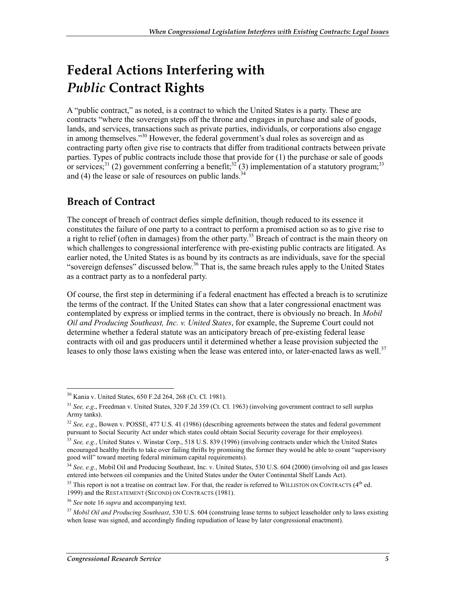## **Federal Actions Interfering with**  *Public* **Contract Rights**

A "public contract," as noted, is a contract to which the United States is a party. These are contracts "where the sovereign steps off the throne and engages in purchase and sale of goods, lands, and services, transactions such as private parties, individuals, or corporations also engage in among themselves."30 However, the federal government's dual roles as sovereign and as contracting party often give rise to contracts that differ from traditional contracts between private parties. Types of public contracts include those that provide for (1) the purchase or sale of goods or services;<sup>31</sup> (2) government conferring a benefit;<sup>32</sup> (3) implementation of a statutory program;<sup>33</sup> and (4) the lease or sale of resources on public lands.<sup>34</sup>

## **Breach of Contract**

The concept of breach of contract defies simple definition, though reduced to its essence it constitutes the failure of one party to a contract to perform a promised action so as to give rise to a right to relief (often in damages) from the other party.<sup>35</sup> Breach of contract is the main theory on which challenges to congressional interference with pre-existing public contracts are litigated. As earlier noted, the United States is as bound by its contracts as are individuals, save for the special "sovereign defenses" discussed below.<sup>36</sup> That is, the same breach rules apply to the United States as a contract party as to a nonfederal party.

Of course, the first step in determining if a federal enactment has effected a breach is to scrutinize the terms of the contract. If the United States can show that a later congressional enactment was contemplated by express or implied terms in the contract, there is obviously no breach. In *Mobil Oil and Producing Southeast, Inc. v. United States*, for example, the Supreme Court could not determine whether a federal statute was an anticipatory breach of pre-existing federal lease contracts with oil and gas producers until it determined whether a lease provision subjected the leases to only those laws existing when the lease was entered into, or later-enacted laws as well.<sup>37</sup>

<sup>30</sup> Kania v. United States, 650 F.2d 264, 268 (Ct. Cl. 1981).

<sup>31</sup> *See, e.g*., Freedman v. United States, 320 F.2d 359 (Ct. Cl. 1963) (involving government contract to sell surplus Army tanks).

<sup>32</sup> *See, e.g*., Bowen v. POSSE, 477 U.S. 41 (1986) (describing agreements between the states and federal government pursuant to Social Security Act under which states could obtain Social Security coverage for their employees).

<sup>33</sup> *See, e.g.*, United States v. Winstar Corp., 518 U.S. 839 (1996) (involving contracts under which the United States encouraged healthy thrifts to take over failing thrifts by promising the former they would be able to count "supervisory good will" toward meeting federal minimum capital requirements).

<sup>34</sup> *See, e.g.*, Mobil Oil and Producing Southeast, Inc. v. United States, 530 U.S. 604 (2000) (involving oil and gas leases entered into between oil companies and the United States under the Outer Continental Shelf Lands Act).

 $35$  This report is not a treatise on contract law. For that, the reader is referred to WILLISTON ON CONTRACTS ( $4<sup>th</sup>$  ed. 1999) and the RESTATEMENT (SECOND) ON CONTRACTS (1981).

<sup>36</sup> *See* note 16 *supra* and accompanying text.

<sup>37</sup> *Mobil Oil and Producing Southeast*, 530 U.S. 604 (construing lease terms to subject leaseholder only to laws existing when lease was signed, and accordingly finding repudiation of lease by later congressional enactment).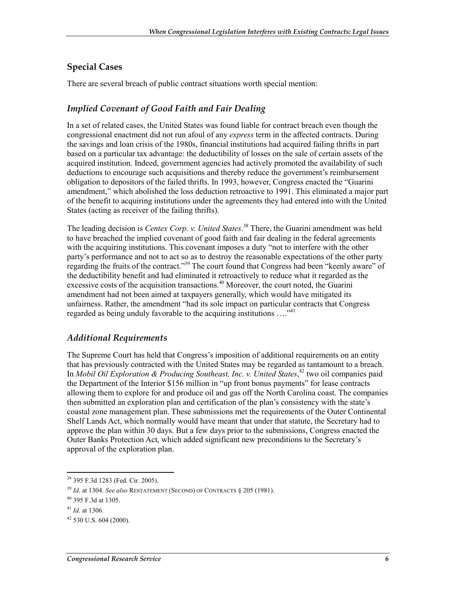#### **Special Cases**

There are several breach of public contract situations worth special mention:

#### *Implied Covenant of Good Faith and Fair Dealing*

In a set of related cases, the United States was found liable for contract breach even though the congressional enactment did not run afoul of any *express* term in the affected contracts. During the savings and loan crisis of the 1980s, financial institutions had acquired failing thrifts in part based on a particular tax advantage: the deductibility of losses on the sale of certain assets of the acquired institution. Indeed, government agencies had actively promoted the availability of such deductions to encourage such acquisitions and thereby reduce the government's reimbursement obligation to depositors of the failed thrifts. In 1993, however, Congress enacted the "Guarini amendment," which abolished the loss deduction retroactive to 1991. This eliminated a major part of the benefit to acquiring institutions under the agreements they had entered into with the United States (acting as receiver of the failing thrifts).

The leading decision is *Centex Corp. v. United States*. 38 There, the Guarini amendment was held to have breached the implied covenant of good faith and fair dealing in the federal agreements with the acquiring institutions. This covenant imposes a duty "not to interfere with the other party's performance and not to act so as to destroy the reasonable expectations of the other party regarding the fruits of the contract."<sup>39</sup> The court found that Congress had been "keenly aware" of the deductibility benefit and had eliminated it retroactively to reduce what it regarded as the excessive costs of the acquisition transactions.<sup>40</sup> Moreover, the court noted, the Guarini amendment had not been aimed at taxpayers generally, which would have mitigated its unfairness. Rather, the amendment "had its sole impact on particular contracts that Congress regarded as being unduly favorable to the acquiring institutions ....<sup>"41</sup>

#### *Additional Requirements*

The Supreme Court has held that Congress's imposition of additional requirements on an entity that has previously contracted with the United States may be regarded as tantamount to a breach. In *Mobil Oil Exploration & Producing Southeast, Inc. v. United States*, 42 two oil companies paid the Department of the Interior \$156 million in "up front bonus payments" for lease contracts allowing them to explore for and produce oil and gas off the North Carolina coast. The companies then submitted an exploration plan and certification of the plan's consistency with the state's coastal zone management plan. These submissions met the requirements of the Outer Continental Shelf Lands Act, which normally would have meant that under that statute, the Secretary had to approve the plan within 30 days. But a few days prior to the submissions, Congress enacted the Outer Banks Protection Act, which added significant new preconditions to the Secretary's approval of the exploration plan.

<sup>38 395</sup> F.3d 1283 (Fed. Cir. 2005).

<sup>39</sup> *Id*. at 1304. *See also* RESTATEMENT (SECOND) OF CONTRACTS § 205 (1981).

<sup>40 395</sup> F.3d at 1305.

<sup>41</sup> *Id*. at 1306.

<sup>42 530</sup> U.S. 604 (2000).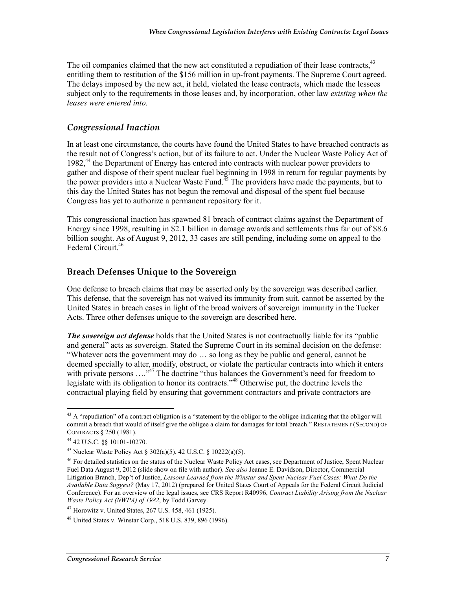The oil companies claimed that the new act constituted a repudiation of their lease contracts, $43$ entitling them to restitution of the \$156 million in up-front payments. The Supreme Court agreed. The delays imposed by the new act, it held, violated the lease contracts, which made the lessees subject only to the requirements in those leases and, by incorporation, other law *existing when the leases were entered into.* 

#### *Congressional Inaction*

In at least one circumstance, the courts have found the United States to have breached contracts as the result not of Congress's action, but of its failure to act. Under the Nuclear Waste Policy Act of 1982,<sup>44</sup> the Department of Energy has entered into contracts with nuclear power providers to gather and dispose of their spent nuclear fuel beginning in 1998 in return for regular payments by the power providers into a Nuclear Waste Fund. $45$  The providers have made the payments, but to this day the United States has not begun the removal and disposal of the spent fuel because Congress has yet to authorize a permanent repository for it.

This congressional inaction has spawned 81 breach of contract claims against the Department of Energy since 1998, resulting in \$2.1 billion in damage awards and settlements thus far out of \$8.6 billion sought. As of August 9, 2012, 33 cases are still pending, including some on appeal to the Federal Circuit<sup>46</sup>

#### **Breach Defenses Unique to the Sovereign**

One defense to breach claims that may be asserted only by the sovereign was described earlier. This defense, that the sovereign has not waived its immunity from suit, cannot be asserted by the United States in breach cases in light of the broad waivers of sovereign immunity in the Tucker Acts. Three other defenses unique to the sovereign are described here.

*The sovereign act defense* holds that the United States is not contractually liable for its "public and general" acts as sovereign. Stated the Supreme Court in its seminal decision on the defense: "Whatever acts the government may do … so long as they be public and general, cannot be deemed specially to alter, modify, obstruct, or violate the particular contracts into which it enters with private persons ....<sup>347</sup> The doctrine "thus balances the Government's need for freedom to legislate with its obligation to honor its contracts."48 Otherwise put, the doctrine levels the contractual playing field by ensuring that government contractors and private contractors are

<u>.</u>

 $43$  A "repudiation" of a contract obligation is a "statement by the obligor to the obligee indicating that the obligor will commit a breach that would of itself give the obligee a claim for damages for total breach." RESTATEMENT (SECOND) OF CONTRACTS § 250 (1981).

<sup>44 42</sup> U.S.C. §§ 10101-10270.

<sup>45</sup> Nuclear Waste Policy Act § 302(a)(5), 42 U.S.C. § 10222(a)(5).

<sup>46</sup> For detailed statistics on the status of the Nuclear Waste Policy Act cases, see Department of Justice, Spent Nuclear Fuel Data August 9, 2012 (slide show on file with author). *See also* Jeanne E. Davidson, Director, Commercial Litigation Branch, Dep't of Justice, *Lessons Learned from the Winstar and Spent Nuclear Fuel Cases: What Do the Available Data Suggest?* (May 17, 2012) (prepared for United States Court of Appeals for the Federal Circuit Judicial Conference). For an overview of the legal issues, see CRS Report R40996, *Contract Liability Arising from the Nuclear Waste Policy Act (NWPA) of 1982*, by Todd Garvey.

 $47$  Horowitz v. United States, 267 U.S. 458, 461 (1925).

<sup>48</sup> United States v. Winstar Corp., 518 U.S. 839, 896 (1996).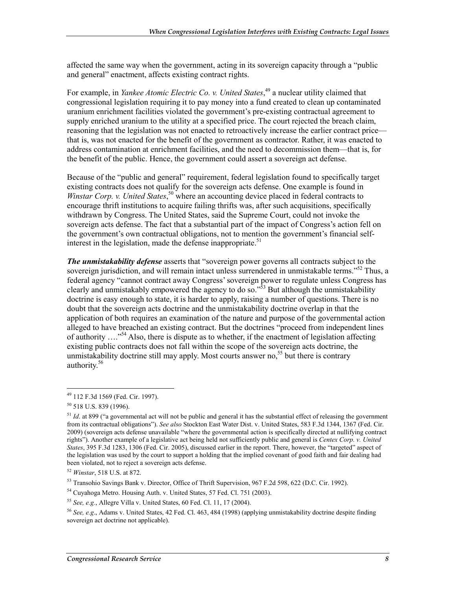affected the same way when the government, acting in its sovereign capacity through a "public and general" enactment, affects existing contract rights.

For example, in *Yankee Atomic Electric Co. v. United States*, 49 a nuclear utility claimed that congressional legislation requiring it to pay money into a fund created to clean up contaminated uranium enrichment facilities violated the government's pre-existing contractual agreement to supply enriched uranium to the utility at a specified price. The court rejected the breach claim, reasoning that the legislation was not enacted to retroactively increase the earlier contract price that is, was not enacted for the benefit of the government as contractor. Rather, it was enacted to address contamination at enrichment facilities, and the need to decommission them—that is, for the benefit of the public. Hence, the government could assert a sovereign act defense.

Because of the "public and general" requirement, federal legislation found to specifically target existing contracts does not qualify for the sovereign acts defense. One example is found in Winstar Corp. v. United States,<sup>50</sup> where an accounting device placed in federal contracts to encourage thrift institutions to acquire failing thrifts was, after such acquisitions, specifically withdrawn by Congress. The United States, said the Supreme Court, could not invoke the sovereign acts defense. The fact that a substantial part of the impact of Congress's action fell on the government's own contractual obligations, not to mention the government's financial selfinterest in the legislation, made the defense inappropriate.<sup>51</sup>

*The unmistakability defense* asserts that "sovereign power governs all contracts subject to the sovereign jurisdiction, and will remain intact unless surrendered in unmistakable terms."<sup>52</sup> Thus, a federal agency "cannot contract away Congress' sovereign power to regulate unless Congress has clearly and unmistakably empowered the agency to do so.<sup> $\frac{5}{2}$ </sup> But although the unmistakability doctrine is easy enough to state, it is harder to apply, raising a number of questions. There is no doubt that the sovereign acts doctrine and the unmistakability doctrine overlap in that the application of both requires an examination of the nature and purpose of the governmental action alleged to have breached an existing contract. But the doctrines "proceed from independent lines of authority ...."<sup>54</sup> Also, there is dispute as to whether, if the enactment of legislation affecting existing public contracts does not fall within the scope of the sovereign acts doctrine, the unmistakability doctrine still may apply. Most courts answer no,<sup>55</sup> but there is contrary authority.<sup>56</sup>

<sup>1</sup> 49 112 F.3d 1569 (Fed. Cir. 1997).

<sup>50 518</sup> U.S. 839 (1996).

<sup>&</sup>lt;sup>51</sup> *Id.* at 899 ("a governmental act will not be public and general it has the substantial effect of releasing the government from its contractual obligations"). *See also* Stockton East Water Dist. v. United States, 583 F.3d 1344, 1367 (Fed. Cir. 2009) (sovereign acts defense unavailable "where the governmental action is specifically directed at nullifying contract rights"). Another example of a legislative act being held not sufficiently public and general is *Centex Corp. v. United States*, 395 F.3d 1283, 1306 (Fed. Cir. 2005), discussed earlier in the report. There, however, the "targeted" aspect of the legislation was used by the court to support a holding that the implied covenant of good faith and fair dealing had been violated, not to reject a sovereign acts defense.

<sup>52</sup> *Winstar*, 518 U.S. at 872.

<sup>53</sup> Transohio Savings Bank v. Director, Office of Thrift Supervision, 967 F.2d 598, 622 (D.C. Cir. 1992).

<sup>54</sup> Cuyahoga Metro. Housing Auth. v. United States, 57 Fed. Cl. 751 (2003).

<sup>55</sup> *See, e.g.*, Allegre Villa v. United States, 60 Fed. Cl. 11, 17 (2004).

<sup>56</sup> *See, e.g*., Adams v. United States, 42 Fed. Cl. 463, 484 (1998) (applying unmistakability doctrine despite finding sovereign act doctrine not applicable).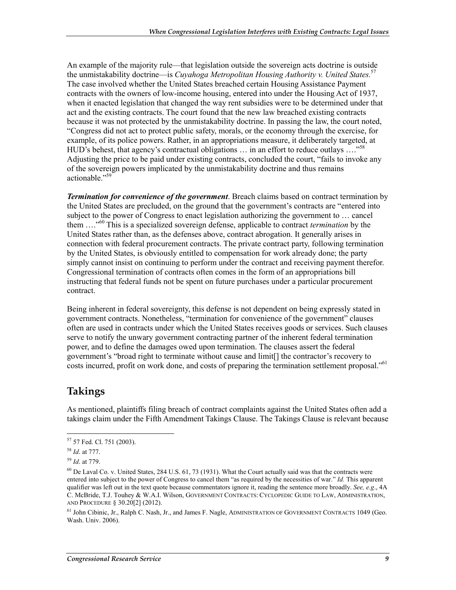An example of the majority rule—that legislation outside the sovereign acts doctrine is outside the unmistakability doctrine—is *Cuyahoga Metropolitan Housing Authority v. United States.*<sup>57</sup> The case involved whether the United States breached certain Housing Assistance Payment contracts with the owners of low-income housing, entered into under the Housing Act of 1937, when it enacted legislation that changed the way rent subsidies were to be determined under that act and the existing contracts. The court found that the new law breached existing contracts because it was not protected by the unmistakability doctrine. In passing the law, the court noted, "Congress did not act to protect public safety, morals, or the economy through the exercise, for example, of its police powers. Rather, in an appropriations measure, it deliberately targeted, at HUD's behest, that agency's contractual obligations ... in an effort to reduce outlays ...."<sup>58</sup> Adjusting the price to be paid under existing contracts, concluded the court, "fails to invoke any of the sovereign powers implicated by the unmistakability doctrine and thus remains actionable."59

*Termination for convenience of the government*. Breach claims based on contract termination by the United States are precluded, on the ground that the government's contracts are "entered into subject to the power of Congress to enact legislation authorizing the government to … cancel them …."60 This is a specialized sovereign defense, applicable to contract *termination* by the United States rather than, as the defenses above, contract abrogation. It generally arises in connection with federal procurement contracts. The private contract party, following termination by the United States, is obviously entitled to compensation for work already done; the party simply cannot insist on continuing to perform under the contract and receiving payment therefor. Congressional termination of contracts often comes in the form of an appropriations bill instructing that federal funds not be spent on future purchases under a particular procurement contract.

Being inherent in federal sovereignty, this defense is not dependent on being expressly stated in government contracts. Nonetheless, "termination for convenience of the government" clauses often are used in contracts under which the United States receives goods or services. Such clauses serve to notify the unwary government contracting partner of the inherent federal termination power, and to define the damages owed upon termination. The clauses assert the federal government's "broad right to terminate without cause and limit[] the contractor's recovery to costs incurred, profit on work done, and costs of preparing the termination settlement proposal."<sup>61</sup>

### **Takings**

As mentioned, plaintiffs filing breach of contract complaints against the United States often add a takings claim under the Fifth Amendment Takings Clause. The Takings Clause is relevant because

<sup>57 57</sup> Fed. Cl. 751 (2003).

<sup>58</sup> *Id*. at 777.

<sup>59</sup> *Id*. at 779.

 $^{60}$  De Laval Co. v. United States, 284 U.S. 61, 73 (1931). What the Court actually said was that the contracts were entered into subject to the power of Congress to cancel them "as required by the necessities of war." *Id.* This apparent qualifier was left out in the text quote because commentators ignore it, reading the sentence more broadly. *See, e.g*., 4A C. McBride, T.J. Touhey & W.A.I. Wilson, GOVERNMENT CONTRACTS: CYCLOPEDIC GUIDE TO LAW, ADMINISTRATION, AND PROCEDURE § 30.20[2] (2012).

<sup>&</sup>lt;sup>61</sup> John Cibinic, Jr., Ralph C. Nash, Jr., and James F. Nagle, ADMINISTRATION OF GOVERNMENT CONTRACTS 1049 (Geo. Wash. Univ. 2006).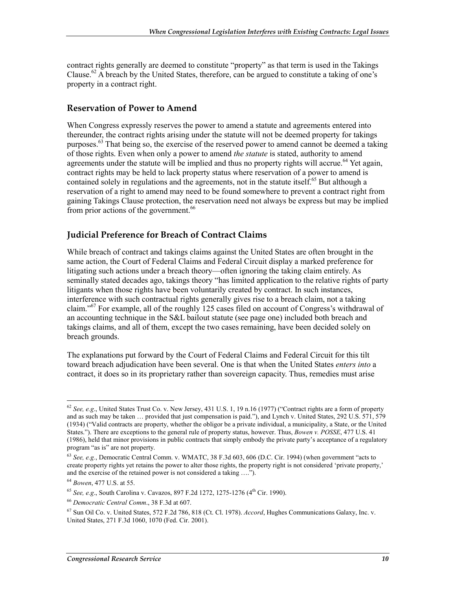contract rights generally are deemed to constitute "property" as that term is used in the Takings Clause.<sup>62</sup> A breach by the United States, therefore, can be argued to constitute a taking of one's property in a contract right.

#### **Reservation of Power to Amend**

When Congress expressly reserves the power to amend a statute and agreements entered into thereunder, the contract rights arising under the statute will not be deemed property for takings purposes.<sup>63</sup> That being so, the exercise of the reserved power to amend cannot be deemed a taking of those rights. Even when only a power to amend *the statute* is stated, authority to amend agreements under the statute will be implied and thus no property rights will accrue.<sup>64</sup> Yet again, contract rights may be held to lack property status where reservation of a power to amend is contained solely in regulations and the agreements, not in the statute itself.<sup>65</sup> But although a reservation of a right to amend may need to be found somewhere to prevent a contract right from gaining Takings Clause protection, the reservation need not always be express but may be implied from prior actions of the government.<sup>66</sup>

#### **Judicial Preference for Breach of Contract Claims**

While breach of contract and takings claims against the United States are often brought in the same action, the Court of Federal Claims and Federal Circuit display a marked preference for litigating such actions under a breach theory—often ignoring the taking claim entirely. As seminally stated decades ago, takings theory "has limited application to the relative rights of party litigants when those rights have been voluntarily created by contract. In such instances, interference with such contractual rights generally gives rise to a breach claim, not a taking claim."<sup>67</sup> For example, all of the roughly 125 cases filed on account of Congress's withdrawal of an accounting technique in the S&L bailout statute (see page one) included both breach and takings claims, and all of them, except the two cases remaining, have been decided solely on breach grounds.

The explanations put forward by the Court of Federal Claims and Federal Circuit for this tilt toward breach adjudication have been several. One is that when the United States *enters into* a contract, it does so in its proprietary rather than sovereign capacity. Thus, remedies must arise

<sup>&</sup>lt;u>.</u> <sup>62</sup> *See, e.g*., United States Trust Co. v. New Jersey, 431 U.S. 1, 19 n.16 (1977) ("Contract rights are a form of property and as such may be taken … provided that just compensation is paid."), and Lynch v. United States, 292 U.S. 571, 579 (1934) ("Valid contracts are property, whether the obligor be a private individual, a municipality, a State, or the United States."). There are exceptions to the general rule of property status, however. Thus, *Bowen v. POSSE*, 477 U.S. 41 (1986), held that minor provisions in public contracts that simply embody the private party's acceptance of a regulatory program "as is" are not property.

<sup>63</sup> *See, e.g.*, Democratic Central Comm. v. WMATC, 38 F.3d 603, 606 (D.C. Cir. 1994) (when government "acts to create property rights yet retains the power to alter those rights, the property right is not considered 'private property,' and the exercise of the retained power is not considered a taking ….").

<sup>64</sup> *Bowen*, 477 U.S. at 55.

<sup>65</sup> *See, e.g*., South Carolina v. Cavazos, 897 F.2d 1272, 1275-1276 (4th Cir. 1990).

<sup>66</sup> *Democratic Central Comm*., 38 F.3d at 607.

<sup>67</sup> Sun Oil Co. v. United States, 572 F.2d 786, 818 (Ct. Cl. 1978). *Accord*, Hughes Communications Galaxy, Inc. v. United States, 271 F.3d 1060, 1070 (Fed. Cir. 2001).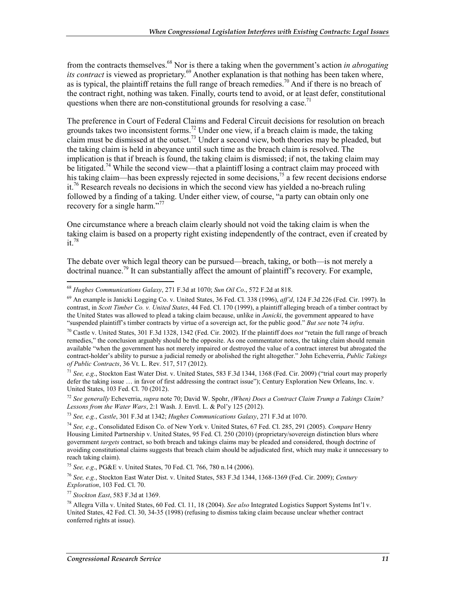from the contracts themselves.68 Nor is there a taking when the government's action *in abrogating its contract* is viewed as proprietary.<sup>69</sup> Another explanation is that nothing has been taken where, as is typical, the plaintiff retains the full range of breach remedies.<sup>70</sup> And if there is no breach of the contract right, nothing was taken. Finally, courts tend to avoid, or at least defer, constitutional questions when there are non-constitutional grounds for resolving a case.<sup>71</sup>

The preference in Court of Federal Claims and Federal Circuit decisions for resolution on breach grounds takes two inconsistent forms.<sup>72</sup> Under one view, if a breach claim is made, the taking claim must be dismissed at the outset.<sup>73</sup> Under a second view, both theories may be pleaded, but the taking claim is held in abeyance until such time as the breach claim is resolved. The implication is that if breach is found, the taking claim is dismissed; if not, the taking claim may be litigated.<sup>74</sup> While the second view—that a plaintiff losing a contract claim may proceed with his taking claim—has been expressly rejected in some decisions,<sup>75</sup> a few recent decisions endorse it.<sup>76</sup> Research reveals no decisions in which the second view has yielded a no-breach ruling followed by a finding of a taking. Under either view, of course, "a party can obtain only one recovery for a single harm."<sup>77</sup>

One circumstance where a breach claim clearly should not void the taking claim is when the taking claim is based on a property right existing independently of the contract, even if created by  $it.<sup>78</sup>$ 

The debate over which legal theory can be pursued—breach, taking, or both—is not merely a doctrinal nuance.<sup>79</sup> It can substantially affect the amount of plaintiff's recovery. For example,

<sup>71</sup> *See, e.g*., Stockton East Water Dist. v. United States, 583 F.3d 1344, 1368 (Fed. Cir. 2009) ("trial court may properly defer the taking issue … in favor of first addressing the contract issue"); Century Exploration New Orleans, Inc. v. United States, 103 Fed. Cl. 70 (2012).

<sup>72</sup> *See generally* Echeverria, *supra* note 70; David W. Spohr, *(When) Does a Contract Claim Trump a Takings Claim? Lessons from the Water Wars*, 2:1 Wash. J. Envtl. L. & Pol'y 125 (2012).

<sup>75</sup> *See, e.g*., PG&E v. United States, 70 Fed. Cl. 766, 780 n.14 (2006).

<sup>76</sup> *See, e.g.*, Stockton East Water Dist. v. United States, 583 F.3d 1344, 1368-1369 (Fed. Cir. 2009); *Century Exploration*, 103 Fed. Cl. 70.

<sup>77</sup> *Stockton East*, 583 F.3d at 1369.

<sup>68</sup> *Hughes Communications Galaxy*, 271 F.3d at 1070; *Sun Oil Co*., 572 F.2d at 818.

<sup>69</sup> An example is Janicki Logging Co. v. United States, 36 Fed. Cl. 338 (1996), *aff'd*, 124 F.3d 226 (Fed. Cir. 1997). In contrast, in *Scott Timber Co. v. United States*, 44 Fed. Cl. 170 (1999), a plaintiff alleging breach of a timber contract by the United States was allowed to plead a taking claim because, unlike in *Janicki*, the government appeared to have "suspended plaintiff's timber contracts by virtue of a sovereign act, for the public good." *But see* note 74 *infra*.

<sup>70</sup> Castle v. United States, 301 F.3d 1328, 1342 (Fed. Cir. 2002). If the plaintiff does *not* "retain the full range of breach remedies," the conclusion arguably should be the opposite. As one commentator notes, the taking claim should remain available "when the government has not merely impaired or destroyed the value of a contract interest but abrogated the contract-holder's ability to pursue a judicial remedy or abolished the right altogether." John Echeverria, *Public Takings of Public Contracts*, 36 Vt. L. Rev. 517, 517 (2012).

<sup>73</sup> *See, e.g.*, *Castle*, 301 F.3d at 1342; *Hughes Communications Galaxy*, 271 F.3d at 1070.

<sup>74</sup> *See, e.g*., Consolidated Edison Co. of New York v. United States, 67 Fed. Cl. 285, 291 (2005). *Compare* Henry Housing Limited Partnership v. United States, 95 Fed. Cl. 250 (2010) (proprietary/sovereign distinction blurs where government *targets* contract, so both breach and takings claims may be pleaded and considered, though doctrine of avoiding constitutional claims suggests that breach claim should be adjudicated first, which may make it unnecessary to reach taking claim).

<sup>78</sup> Allegra Villa v. United States, 60 Fed. Cl. 11, 18 (2004). *See also* Integrated Logistics Support Systems Int'l v. United States, 42 Fed. Cl. 30, 34-35 (1998) (refusing to dismiss taking claim because unclear whether contract conferred rights at issue).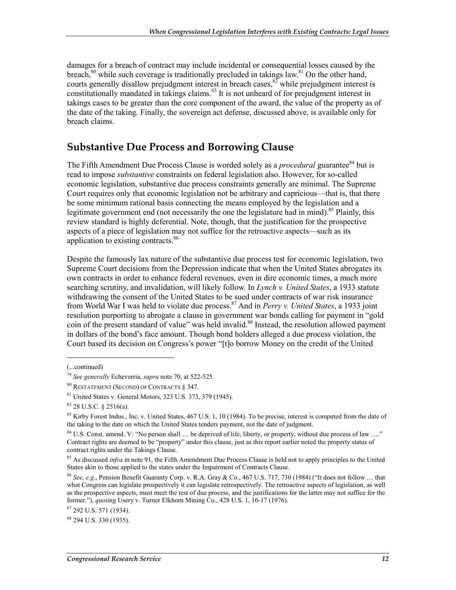damages for a breach of contract may include incidental or consequential losses caused by the breach,<sup>80</sup> while such coverage is traditionally precluded in takings law.<sup>81</sup> On the other hand, courts generally disallow prejudgment interest in breach cases,  ${}^{82}$  while prejudgment interest is constitutionally mandated in takings claims.<sup>83</sup> It is not unheard of for prejudgment interest in takings cases to be greater than the core component of the award, the value of the property as of the date of the taking. Finally, the sovereign act defense, discussed above, is available only for breach claims.

### **Substantive Due Process and Borrowing Clause**

The Fifth Amendment Due Process Clause is worded solely as a *procedural* guarantee<sup>84</sup> but is read to impose *substantive* constraints on federal legislation also. However, for so-called economic legislation, substantive due process constraints generally are minimal. The Supreme Court requires only that economic legislation not be arbitrary and capricious—that is, that there be some minimum rational basis connecting the means employed by the legislation and a legitimate government end (not necessarily the one the legislature had in mind).<sup>85</sup> Plainly, this review standard is highly deferential. Note, though, that the justification for the prospective aspects of a piece of legislation may not suffice for the retroactive aspects—such as its application to existing contracts.<sup>86</sup>

Despite the famously lax nature of the substantive due process test for economic legislation, two Supreme Court decisions from the Depression indicate that when the United States abrogates its own contracts in order to enhance federal revenues, even in dire economic times, a much more searching scrutiny, and invalidation, will likely follow. In *Lynch v. United States*, a 1933 statute withdrawing the consent of the United States to be sued under contracts of war risk insurance from World War I was held to violate due process.87 And in *Perry v. United States*, a 1933 joint resolution purporting to abrogate a clause in government war bonds calling for payment in "gold coin of the present standard of value" was held invalid.<sup>88</sup> Instead, the resolution allowed payment in dollars of the bond's face amount. Though bond holders alleged a due process violation, the Court based its decision on Congress's power "[t]o borrow Money on the credit of the United

<sup>(...</sup>continued)

<sup>79</sup> *See generally* Echeverria, *supra* note 70, at 522-525.

<sup>80</sup> RESTATEMENT (SECOND) OF CONTRACTS § 347.

<sup>81</sup> United States v. General Motors, 323 U.S. 373, 379 (1945).

 $82$  28 U.S.C. § 2516(a).

 $83$  Kirby Forest Indus., Inc. v. United States, 467 U.S. 1, 10 (1984). To be precise, interest is computed from the date of the taking to the date on which the United States tenders payment, not the date of judgment.

 $84$  U.S. Const. amend. V: "No person shall ... be deprived of life, liberty, or property, without due process of law ...." Contract rights are deemed to be "property" under this clause, just as this report earlier noted the property status of contract rights under the Takings Clause.

<sup>&</sup>lt;sup>85</sup> As discussed *infra* in note 91, the Fifth Amendment Due Process Clause is held not to apply principles to the United States akin to those applied to the states under the Impairment of Contracts Clause.

<sup>86</sup> *See, e.g*., Pension Benefit Guaranty Corp. v. R.A. Gray & Co., 467 U.S. 717, 730 (1984) ("It does not follow … that what Congress can legislate prospectively it can legislate retrospectively. The retroactive aspects of legislation, as well as the prospective aspects, must meet the test of due process, and the justifications for the latter may not suffice for the former."), *quoting* Usery v. Turner Elkhorn Mining Co., 428 U.S. 1, 16-17 (1976).

<sup>87 292</sup> U.S. 571 (1934).

<sup>88 294</sup> U.S. 330 (1935).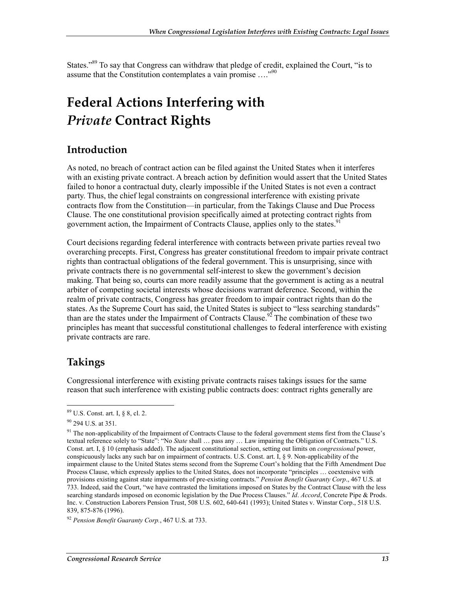States."<sup>89</sup> To say that Congress can withdraw that pledge of credit, explained the Court, "is to assume that the Constitution contemplates a vain promise …."90

## **Federal Actions Interfering with**  *Private* **Contract Rights**

### **Introduction**

As noted, no breach of contract action can be filed against the United States when it interferes with an existing private contract. A breach action by definition would assert that the United States failed to honor a contractual duty, clearly impossible if the United States is not even a contract party. Thus, the chief legal constraints on congressional interference with existing private contracts flow from the Constitution—in particular, from the Takings Clause and Due Process Clause. The one constitutional provision specifically aimed at protecting contract rights from government action, the Impairment of Contracts Clause, applies only to the states.<sup>91</sup>

Court decisions regarding federal interference with contracts between private parties reveal two overarching precepts. First, Congress has greater constitutional freedom to impair private contract rights than contractual obligations of the federal government. This is unsurprising, since with private contracts there is no governmental self-interest to skew the government's decision making. That being so, courts can more readily assume that the government is acting as a neutral arbiter of competing societal interests whose decisions warrant deference. Second, within the realm of private contracts, Congress has greater freedom to impair contract rights than do the states. As the Supreme Court has said, the United States is subject to "less searching standards" than are the states under the Impairment of Contracts Clause.<sup>92</sup> The combination of these two principles has meant that successful constitutional challenges to federal interference with existing private contracts are rare.

### **Takings**

<u>.</u>

Congressional interference with existing private contracts raises takings issues for the same reason that such interference with existing public contracts does: contract rights generally are

<sup>89</sup> U.S. Const. art. I, § 8, cl. 2.

<sup>90 294</sup> U.S. at 351.

<sup>&</sup>lt;sup>91</sup> The non-applicability of the Impairment of Contracts Clause to the federal government stems first from the Clause's textual reference solely to "State": "No *State* shall … pass any … Law impairing the Obligation of Contracts." U.S. Const. art. I, § 10 (emphasis added). The adjacent constitutional section, setting out limits on *congressional* power, conspicuously lacks any such bar on impairment of contracts. U.S. Const. art. I, § 9. Non-applicability of the impairment clause to the United States stems second from the Supreme Court's holding that the Fifth Amendment Due Process Clause, which expressly applies to the United States, does not incorporate "principles … coextensive with provisions existing against state impairments of pre-existing contracts." *Pension Benefit Guaranty Corp*., 467 U.S. at 733. Indeed, said the Court, "we have contrasted the limitations imposed on States by the Contract Clause with the less searching standards imposed on economic legislation by the Due Process Clauses." *Id*. *Accord*, Concrete Pipe & Prods. Inc. v. Construction Laborers Pension Trust, 508 U.S. 602, 640-641 (1993); United States v. Winstar Corp., 518 U.S. 839, 875-876 (1996).

<sup>92</sup> *Pension Benefit Guaranty Corp.*, 467 U.S. at 733.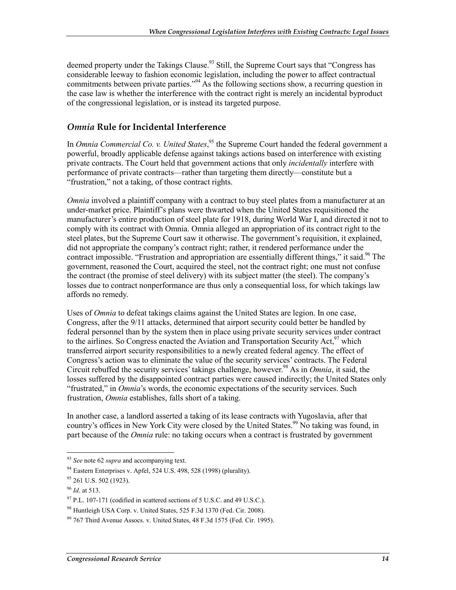deemed property under the Takings Clause.<sup>93</sup> Still, the Supreme Court says that "Congress has considerable leeway to fashion economic legislation, including the power to affect contractual commitments between private parties."<sup>94</sup> As the following sections show, a recurring question in the case law is whether the interference with the contract right is merely an incidental byproduct of the congressional legislation, or is instead its targeted purpose.

#### *Omnia* **Rule for Incidental Interference**

In *Omnia Commercial Co. v. United States*, 95 the Supreme Court handed the federal government a powerful, broadly applicable defense against takings actions based on interference with existing private contracts. The Court held that government actions that only *incidentally* interfere with performance of private contracts—rather than targeting them directly—constitute but a "frustration," not a taking, of those contract rights.

*Omnia* involved a plaintiff company with a contract to buy steel plates from a manufacturer at an under-market price. Plaintiff's plans were thwarted when the United States requisitioned the manufacturer's entire production of steel plate for 1918, during World War I, and directed it not to comply with its contract with Omnia. Omnia alleged an appropriation of its contract right to the steel plates, but the Supreme Court saw it otherwise. The government's requisition, it explained, did not appropriate the company's contract right; rather, it rendered performance under the contract impossible. "Frustration and appropriation are essentially different things," it said.<sup>96</sup> The government, reasoned the Court, acquired the steel, not the contract right; one must not confuse the contract (the promise of steel delivery) with its subject matter (the steel). The company's losses due to contract nonperformance are thus only a consequential loss, for which takings law affords no remedy.

Uses of *Omnia* to defeat takings claims against the United States are legion. In one case, Congress, after the 9/11 attacks, determined that airport security could better be handled by federal personnel than by the system then in place using private security services under contract to the airlines. So Congress enacted the Aviation and Transportation Security Act,  $97$  which transferred airport security responsibilities to a newly created federal agency. The effect of Congress's action was to eliminate the value of the security services' contracts. The Federal Circuit rebuffed the security services' takings challenge, however.<sup>98</sup> As in *Omnia*, it said, the losses suffered by the disappointed contract parties were caused indirectly; the United States only "frustrated," in *Omnia*'s words, the economic expectations of the security services. Such frustration, *Omnia* establishes, falls short of a taking.

In another case, a landlord asserted a taking of its lease contracts with Yugoslavia, after that country's offices in New York City were closed by the United States.<sup>99</sup> No taking was found, in part because of the *Omnia* rule: no taking occurs when a contract is frustrated by government

<sup>93</sup> *See* note 62 *supra* and accompanying text.

<sup>94</sup> Eastern Enterprises v. Apfel, 524 U.S. 498, 528 (1998) (plurality).

<sup>&</sup>lt;sup>95</sup> 261 U.S. 502 (1923).

<sup>96</sup> *Id*. at 513.

 $97$  P.L. 107-171 (codified in scattered sections of 5 U.S.C. and 49 U.S.C.).

<sup>98</sup> Huntleigh USA Corp. v. United States, 525 F.3d 1370 (Fed. Cir. 2008).

<sup>99 767</sup> Third Avenue Assocs. v. United States, 48 F.3d 1575 (Fed. Cir. 1995).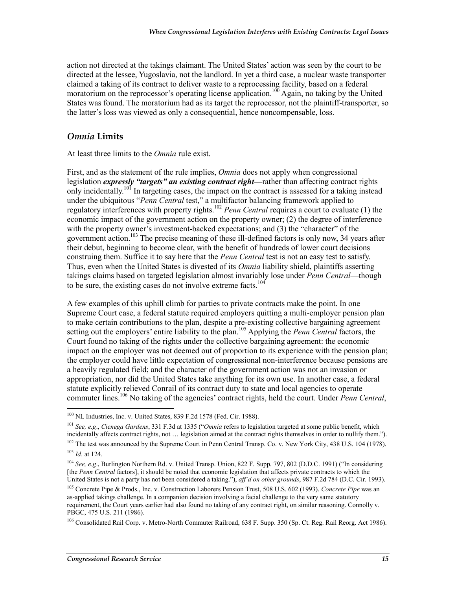action not directed at the takings claimant. The United States' action was seen by the court to be directed at the lessee, Yugoslavia, not the landlord. In yet a third case, a nuclear waste transporter claimed a taking of its contract to deliver waste to a reprocessing facility, based on a federal moratorium on the reprocessor's operating license application.<sup>100</sup> Again, no taking by the United States was found. The moratorium had as its target the reprocessor, not the plaintiff-transporter, so the latter's loss was viewed as only a consequential, hence noncompensable, loss.

#### *Omnia* **Limits**

At least three limits to the *Omnia* rule exist.

First, and as the statement of the rule implies, *Omnia* does not apply when congressional legislation *expressly "targets" an existing contract right—*rather than affecting contract rights only incidentally.<sup>101</sup> In targeting cases, the impact on the contract is assessed for a taking instead under the ubiquitous "*Penn Central* test," a multifactor balancing framework applied to regulatory interferences with property rights.102 *Penn Central* requires a court to evaluate (1) the economic impact of the government action on the property owner; (2) the degree of interference with the property owner's investment-backed expectations; and (3) the "character" of the government action.<sup>103</sup> The precise meaning of these ill-defined factors is only now, 34 years after their debut, beginning to become clear, with the benefit of hundreds of lower court decisions construing them. Suffice it to say here that the *Penn Central* test is not an easy test to satisfy. Thus, even when the United States is divested of its *Omnia* liability shield, plaintiffs asserting takings claims based on targeted legislation almost invariably lose under *Penn Central*—though to be sure, the existing cases do not involve extreme facts.<sup>104</sup>

A few examples of this uphill climb for parties to private contracts make the point. In one Supreme Court case, a federal statute required employers quitting a multi-employer pension plan to make certain contributions to the plan, despite a pre-existing collective bargaining agreement setting out the employers' entire liability to the plan.<sup>105</sup> Applying the *Penn Central* factors, the Court found no taking of the rights under the collective bargaining agreement: the economic impact on the employer was not deemed out of proportion to its experience with the pension plan; the employer could have little expectation of congressional non-interference because pensions are a heavily regulated field; and the character of the government action was not an invasion or appropriation, nor did the United States take anything for its own use. In another case, a federal statute explicitly relieved Conrail of its contract duty to state and local agencies to operate commuter lines.106 No taking of the agencies' contract rights, held the court. Under *Penn Central*,

<u>.</u>

<sup>&</sup>lt;sup>100</sup> NL Industries, Inc. v. United States, 839 F.2d 1578 (Fed. Cir. 1988).

<sup>101</sup> *See, e.g*., *Cienega Gardens*, 331 F.3d at 1335 ("*Omnia* refers to legislation targeted at some public benefit, which incidentally affects contract rights, not … legislation aimed at the contract rights themselves in order to nullify them.").

<sup>&</sup>lt;sup>102</sup> The test was announced by the Supreme Court in Penn Central Transp. Co. v. New York City, 438 U.S. 104 (1978). <sup>103</sup> *Id*. at 124.

<sup>104</sup> *See, e.g*., Burlington Northern Rd. v. United Transp. Union, 822 F. Supp. 797, 802 (D.D.C. 1991) ("In considering [the *Penn Central* factors], it should be noted that economic legislation that affects private contracts to which the United States is not a party has not been considered a taking."), *aff'd on other grounds*, 987 F.2d 784 (D.C. Cir. 1993).

<sup>105</sup> Concrete Pipe & Prods., Inc. v. Construction Laborers Pension Trust, 508 U.S. 602 (1993). *Concrete Pipe* was an as-applied takings challenge. In a companion decision involving a facial challenge to the very same statutory requirement, the Court years earlier had also found no taking of any contract right, on similar reasoning. Connolly v. PBGC, 475 U.S. 211 (1986).

<sup>106</sup> Consolidated Rail Corp. v. Metro-North Commuter Railroad, 638 F. Supp. 350 (Sp. Ct. Reg. Rail Reorg. Act 1986).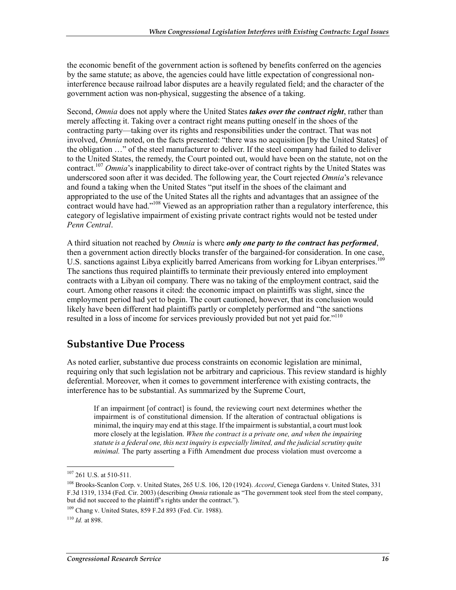the economic benefit of the government action is softened by benefits conferred on the agencies by the same statute; as above, the agencies could have little expectation of congressional noninterference because railroad labor disputes are a heavily regulated field; and the character of the government action was non-physical, suggesting the absence of a taking.

Second, *Omnia* does not apply where the United States *takes over the contract right*, rather than merely affecting it. Taking over a contract right means putting oneself in the shoes of the contracting party—taking over its rights and responsibilities under the contract. That was not involved, *Omnia* noted, on the facts presented: "there was no acquisition [by the United States] of the obligation …" of the steel manufacturer to deliver. If the steel company had failed to deliver to the United States, the remedy, the Court pointed out, would have been on the statute, not on the contract.<sup>107</sup> *Omnia*'s inapplicability to direct take-over of contract rights by the United States was underscored soon after it was decided. The following year, the Court rejected *Omnia*'s relevance and found a taking when the United States "put itself in the shoes of the claimant and appropriated to the use of the United States all the rights and advantages that an assignee of the contract would have had."<sup>108</sup> Viewed as an appropriation rather than a regulatory interference, this category of legislative impairment of existing private contract rights would not be tested under *Penn Central*.

A third situation not reached by *Omnia* is where *only one party to the contract has performed*, then a government action directly blocks transfer of the bargained-for consideration. In one case, U.S. sanctions against Libya explicitly barred Americans from working for Libyan enterprises.<sup>109</sup> The sanctions thus required plaintiffs to terminate their previously entered into employment contracts with a Libyan oil company. There was no taking of the employment contract, said the court. Among other reasons it cited: the economic impact on plaintiffs was slight, since the employment period had yet to begin. The court cautioned, however, that its conclusion would likely have been different had plaintiffs partly or completely performed and "the sanctions resulted in a loss of income for services previously provided but not yet paid for."<sup>110</sup>

### **Substantive Due Process**

As noted earlier, substantive due process constraints on economic legislation are minimal, requiring only that such legislation not be arbitrary and capricious. This review standard is highly deferential. Moreover, when it comes to government interference with existing contracts, the interference has to be substantial. As summarized by the Supreme Court,

If an impairment [of contract] is found, the reviewing court next determines whether the impairment is of constitutional dimension. If the alteration of contractual obligations is minimal, the inquiry may end at this stage. If the impairment is substantial, a court must look more closely at the legislation. *When the contract is a private one, and when the impairing statute is a federal one, this next inquiry is especially limited, and the judicial scrutiny quite minimal.* The party asserting a Fifth Amendment due process violation must overcome a

<sup>&</sup>lt;sup>107</sup> 261 U.S. at 510-511.

<sup>108</sup> Brooks-Scanlon Corp. v. United States, 265 U.S. 106, 120 (1924). *Accord*, Cienega Gardens v. United States, 331 F.3d 1319, 1334 (Fed. Cir. 2003) (describing *Omnia* rationale as "The government took steel from the steel company, but did not succeed to the plaintiff's rights under the contract.").

 $109$  Chang v. United States, 859 F.2d 893 (Fed. Cir. 1988).

<sup>110</sup> *Id.* at 898.